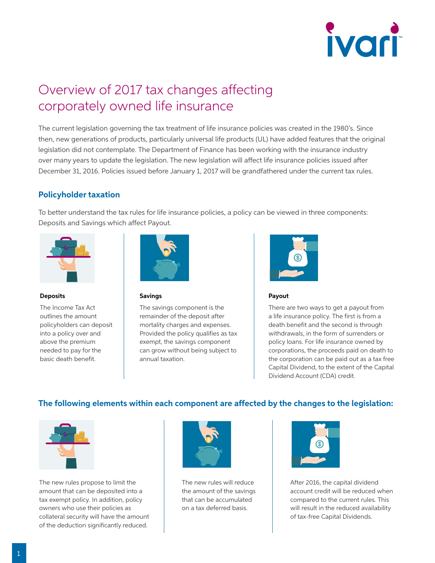

# Overview of 2017 tax changes affecting corporately owned life insurance

The current legislation governing the tax treatment of life insurance policies was created in the 1980's. Since then, new generations of products, particularly universal life products (UL) have added features that the original legislation did not contemplate. The Department of Finance has been working with the insurance industry over many years to update the legislation. The new legislation will affect life insurance policies issued after December 31, 2016. Policies issued before January 1, 2017 will be grandfathered under the current tax rules.

#### **Policyholder taxation**

To better understand the tax rules for life insurance policies, a policy can be viewed in three components: Deposits and Savings which affect Payout.



#### **Deposits**

The Income Tax Act outlines the amount policyholders can deposit into a policy over and above the premium needed to pay for the basic death benefit.



## Savings

**Savings component**

**Deposits into contract** • Savings limit

**Deposits into contract** • Savings limit

The savings component is the mortality charges and expenses. Provided the policy qualifies as tax remainder of the deposit after exempt, the savings component can grow without being subject to annual taxation. **rules** components



#### **Payout**

There are two ways to get a payout from a life insurance policy. The first is from a death benefit and the second is through withdrawals, in the form of surrenders or **Proponent** Policy loans. For life insurance owned by policy idents in the misdiance owned by<br>bject to corporations, the proceeds paid on death to the corporation can be paid out as a tax free Capital Dividend, to the extent of the Capital Dividend Account (CDA) credit.

#### **The following elements within each component are affected by the changes to the legislation:**



The new rules propose to limit the amount that can be deposited into a tax exempt policy. In addition, policy owners who use their policies as collateral security will have the amount of the deduction significantly reduced.



**rules impact these elements**

• NCPI The new rules will reduce The new rates will reduce **New tax legislation and Grandfathering**  that can be accumulated on a tax deferred basis.

**New tax legislation and Grandfathering rules impact these elements**

**New tax legislation and Grandfathering rules impact these elements**



After 2016, the capital dividend account credit will be reduced when compared to the current rules. This will result in the reduced availability of tax-free Capital Dividends.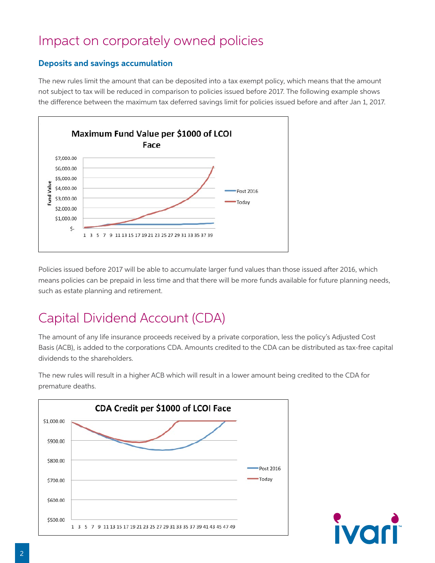# Impact on corporately owned policies

### **Deposits and savings accumulation**

The new rules limit the amount that can be deposited into a tax exempt policy, which means that the amount not subject to tax will be reduced in comparison to policies issued before 2017. The following example shows the difference between the maximum tax deferred savings limit for policies issued before and after Jan 1, 2017.



Policies issued before 2017 will be able to accumulate larger fund values than those issued after 2016, which means policies can be prepaid in less time and that there will be more funds available for future planning needs, such as estate planning and retirement.

# Capital Dividend Account (CDA)

The amount of any life insurance proceeds received by a private corporation, less the policy's Adjusted Cost Basis (ACB), is added to the corporations CDA. Amounts credited to the CDA can be distributed as tax-free capital dividends to the shareholders.

The new rules will result in a higher ACB which will result in a lower amount being credited to the CDA for premature deaths.